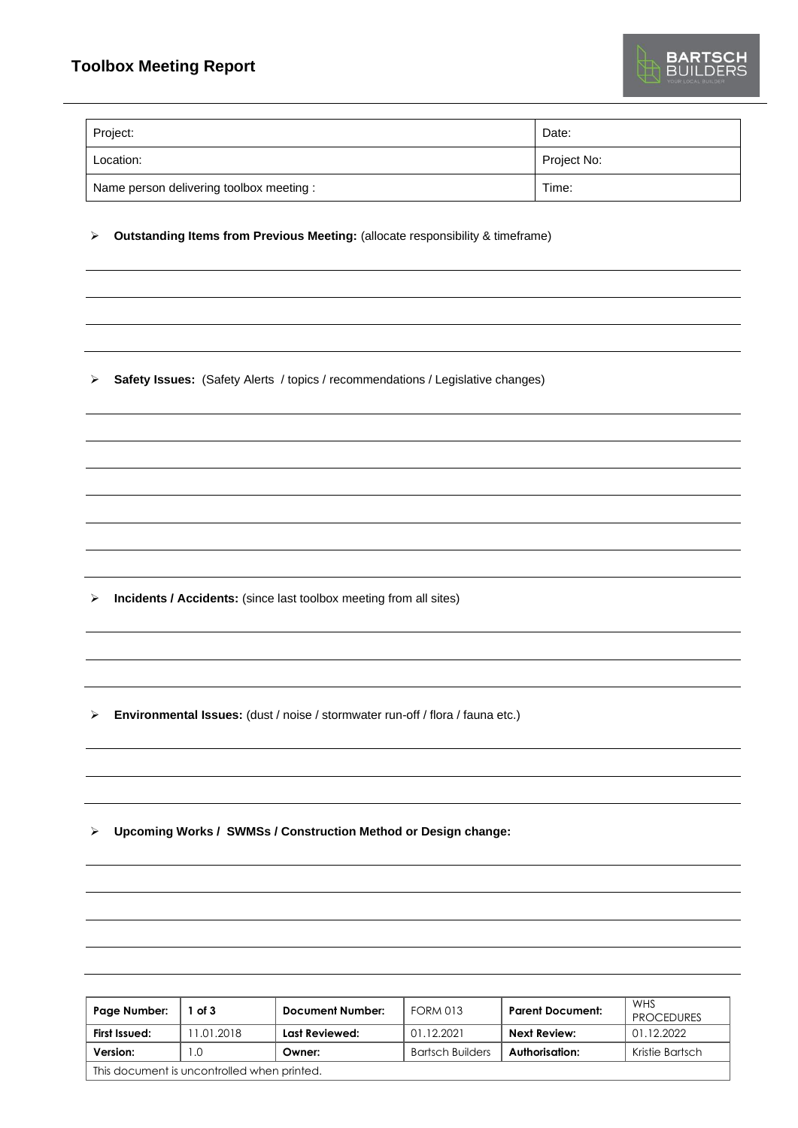| Project:                                 | Date:       |
|------------------------------------------|-------------|
| Location:                                | Project No: |
| Name person delivering toolbox meeting : | Time:       |

➢ **Outstanding Items from Previous Meeting:** (allocate responsibility & timeframe)

➢ **Safety Issues:** (Safety Alerts / topics / recommendations / Legislative changes)

➢ **Incidents / Accidents:** (since last toolbox meeting from all sites)

➢ **Environmental Issues:** (dust / noise / stormwater run-off / flora / fauna etc.)

➢ **Upcoming Works / SWMSs / Construction Method or Design change:**

| Page Number:                                | of 3       | Document Number: | <b>FORM 013</b>         | <b>Parent Document:</b> | <b>WHS</b><br><b>PROCEDURES</b> |
|---------------------------------------------|------------|------------------|-------------------------|-------------------------|---------------------------------|
| First Issued:                               | 11.01.2018 | Last Reviewed:   | 01.12.2021              | Next Review:            | 01.12.2022                      |
| Version:                                    | 0. ا       | Owner:           | <b>Bartsch Builders</b> | Authorisation:          | Kristie Bartsch                 |
| This document is uncontrolled when printed. |            |                  |                         |                         |                                 |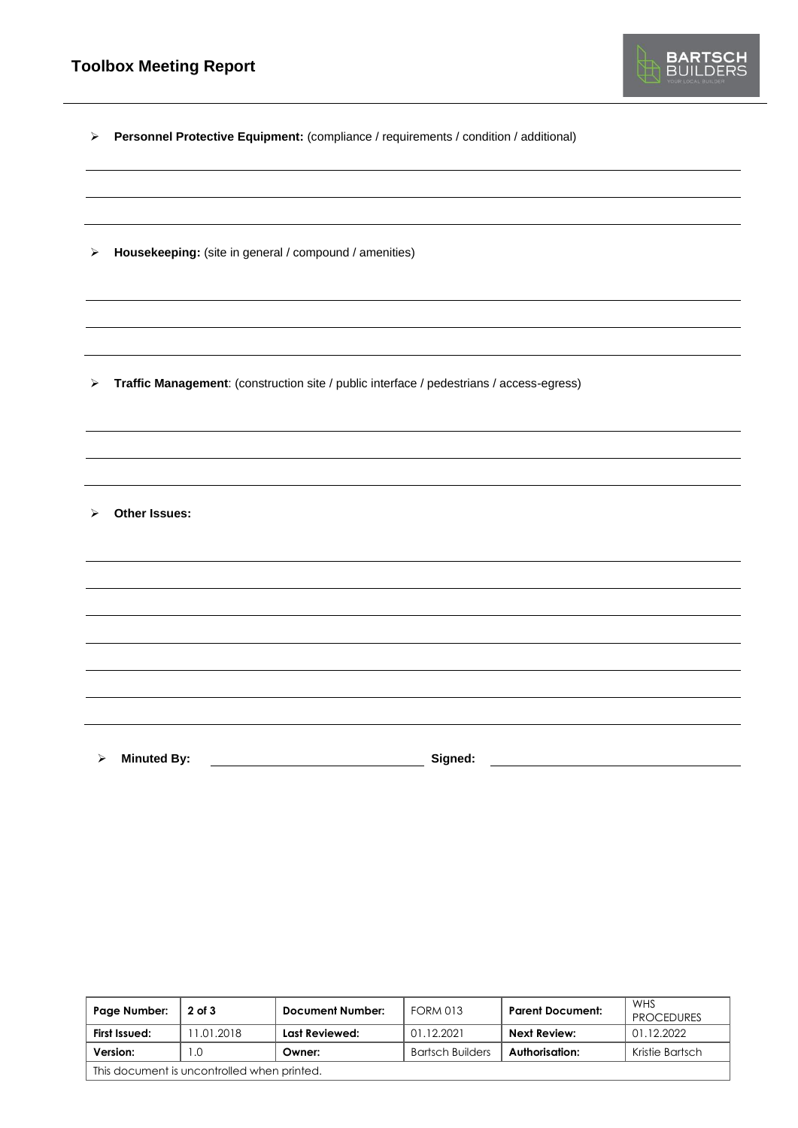

➢ **Personnel Protective Equipment:** (compliance / requirements / condition / additional)

➢ **Housekeeping:** (site in general / compound / amenities)

➢ **Traffic Management**: (construction site / public interface / pedestrians / access-egress)

➢ **Other Issues:** 

➢ **Minuted By: Signed:**

| Page Number:                                | $2$ of $3$ | Document Number: | <b>FORM 013</b>  | <b>Parent Document:</b> | WHS<br><b>PROCEDURES</b> |
|---------------------------------------------|------------|------------------|------------------|-------------------------|--------------------------|
| First Issued:                               | 11.01.2018 | Last Reviewed:   | 01.12.2021       | <b>Next Review:</b>     | 01.12.2022               |
| Version:                                    | I .O       | Owner:           | Bartsch Builders | Authorisation:          | Kristie Bartsch          |
| This document is uncontrolled when printed. |            |                  |                  |                         |                          |